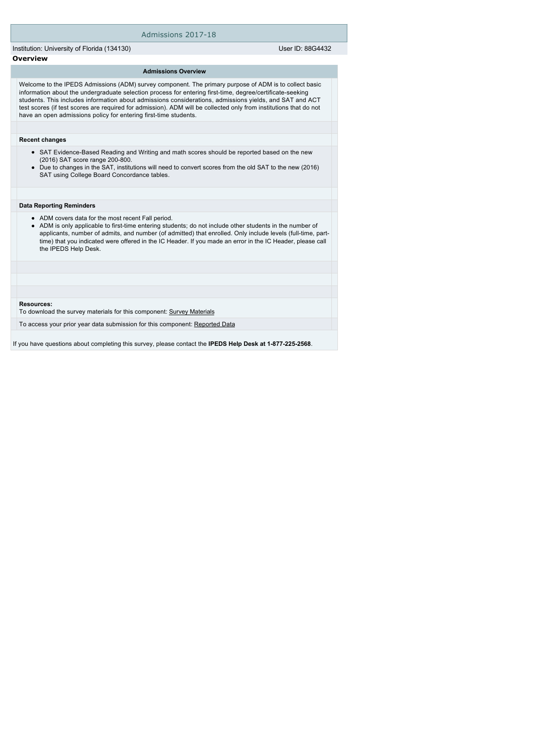## Admissions 2017-18

Institution: University of Florida (134130) User ID: 88G4432

**Overview**

## **Admissions Overview**

Welcome to the IPEDS Admissions (ADM) survey component. The primary purpose of ADM is to collect basic information about the undergraduate selection process for entering first-time, degree/certificate-seeking students. This includes information about admissions considerations, admissions yields, and SAT and ACT test scores (if test scores are required for admission). ADM will be collected only from institutions that do not have an open admissions policy for entering first-time students.

## **Recent changes**

- SAT Evidence-Based Reading and Writing and math scores should be reported based on the new (2016) SAT score range 200-800.
- Due to changes in the SAT, institutions will need to convert scores from the old SAT to the new (2016) SAT using College Board Concordance tables.

## **Data Reporting Reminders**

- ADM covers data for the most recent Fall period.
- ADM is only applicable to first-time entering students; do not include other students in the number of applicants, number of admits, and number (of admitted) that enrolled. Only include levels (full-time, parttime) that you indicated were offered in the IC Header. If you made an error in the IC Header, please call the IPEDS Help Desk.

### **Resources:**

To download the survey materials for this component: [Survey Materials](https://surveys.nces.ed.gov/ipeds/VisIndex.aspx)

To access your prior year data submission for this component: [Reported Data](e:/Inetpub/wwwroot/IPEDS2K17_18/PriorYearDataRedirect.aspx?survey_id=14)

If you have questions about completing this survey, please contact the **IPEDS Help Desk at 1-877-225-2568**.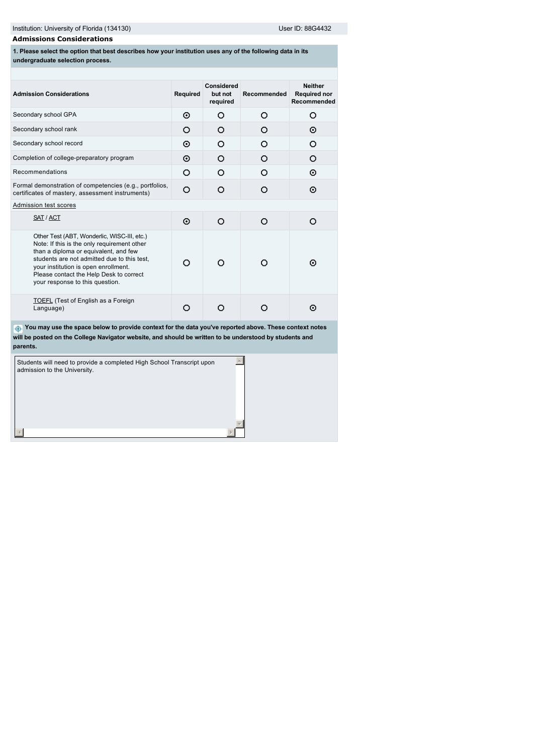# **Admissions Considerations**

**1. Please select the option that best describes how your institution uses any of the following data in its undergraduate selection process.**

| <b>Admission Considerations</b>                                                                                                                                                                                                                                                                          | Required | <b>Considered</b><br>but not<br>required | Recommended | <b>Neither</b><br><b>Required nor</b><br>Recommended |
|----------------------------------------------------------------------------------------------------------------------------------------------------------------------------------------------------------------------------------------------------------------------------------------------------------|----------|------------------------------------------|-------------|------------------------------------------------------|
| Secondary school GPA                                                                                                                                                                                                                                                                                     | ⊙        | O                                        | Ω           | O                                                    |
| Secondary school rank                                                                                                                                                                                                                                                                                    | Ω        | O                                        | O           | ⊙                                                    |
| Secondary school record                                                                                                                                                                                                                                                                                  | ⊙        | O                                        | ∩           | O                                                    |
| Completion of college-preparatory program                                                                                                                                                                                                                                                                | ⊙        | Ω                                        | ∩           | Ω                                                    |
| Recommendations                                                                                                                                                                                                                                                                                          | O        | Ω                                        | ∩           | ⊙                                                    |
| Formal demonstration of competencies (e.g., portfolios,<br>certificates of mastery, assessment instruments)                                                                                                                                                                                              | O        | Ω                                        | O           | ⊙                                                    |
| Admission test scores                                                                                                                                                                                                                                                                                    |          |                                          |             |                                                      |
| SAT / ACT                                                                                                                                                                                                                                                                                                | ⊙        | Ω                                        | O           | Ω                                                    |
| Other Test (ABT, Wonderlic, WISC-III, etc.)<br>Note: If this is the only requirement other<br>than a diploma or equivalent, and few<br>students are not admitted due to this test.<br>your institution is open enrollment.<br>Please contact the Help Desk to correct<br>your response to this question. | Ω        |                                          |             | ⊙                                                    |
| TOEFL (Test of English as a Foreign<br>Language)                                                                                                                                                                                                                                                         |          |                                          |             | ⊙                                                    |

 **You may use the space below to provide context for the data you've reported above. These context notes will be posted on the College Navigator website, and should be written to be understood by students and parents.**

| Students will need to provide a completed High School Transcript upon<br>admission to the University. |  |
|-------------------------------------------------------------------------------------------------------|--|
|                                                                                                       |  |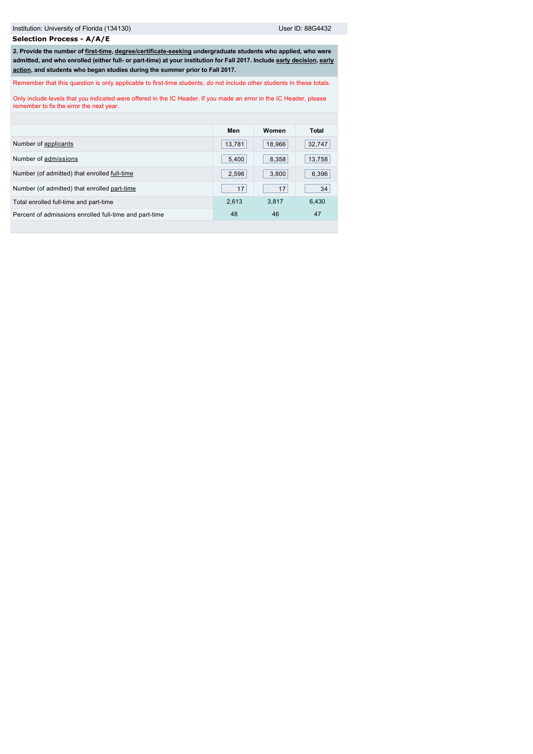# **Selection Process - A/A/E**

**2. Provide the number of [first-time,](javascript:openglossary(241)) [degree/certificate-seeking](javascript:openglossary(171)) undergraduate students who applied, who were [admitted, and who enrolled \(either full- or part-time\) at your institution for Fall 2017. Include](javascript:openglossary(703)) [early decisio](javascript:openglossary(705))[n, early](javascript:openglossary(703)) action, and students who began studies during the summer prior to Fall 2017.**

Remember that this question is only applicable to first-time students, do not include other students in these totals.

Only include levels that you indicated were offered in the IC Header. If you made an error in the IC Header, please remember to fix the error the next year.

|                                                        | Men    | Women  | Total  |
|--------------------------------------------------------|--------|--------|--------|
| Number of applicants                                   | 13,781 | 18.966 | 32,747 |
| Number of admissions                                   | 5,400  | 8,358  | 13,758 |
| Number (of admitted) that enrolled full-time           | 2,596  | 3,800  | 6,396  |
| Number (of admitted) that enrolled part-time           | 17     | 17     | 34     |
| Total enrolled full-time and part-time                 | 2.613  | 3.817  | 6.430  |
| Percent of admissions enrolled full-time and part-time | 48     | 46     | 47     |
|                                                        |        |        |        |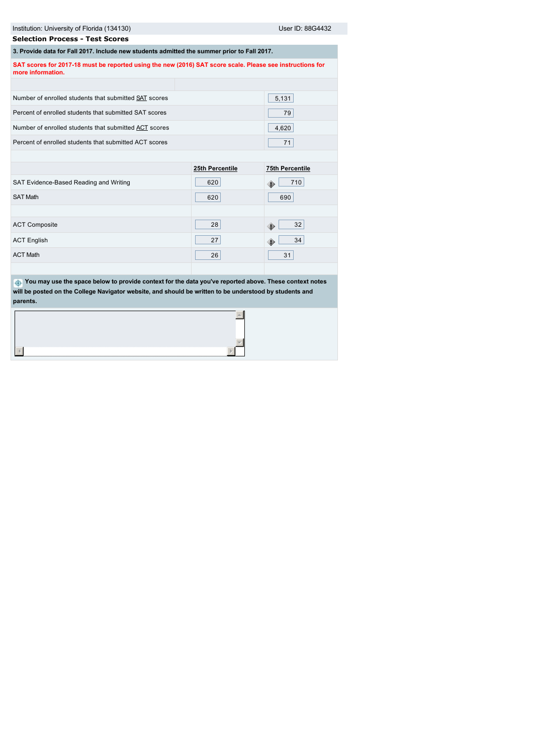| Institution: University of Florida (134130)                                                                                    |                 | User ID: 88G4432       |  |  |  |
|--------------------------------------------------------------------------------------------------------------------------------|-----------------|------------------------|--|--|--|
| <b>Selection Process - Test Scores</b>                                                                                         |                 |                        |  |  |  |
| 3. Provide data for Fall 2017. Include new students admitted the summer prior to Fall 2017.                                    |                 |                        |  |  |  |
| SAT scores for 2017-18 must be reported using the new (2016) SAT score scale. Please see instructions for<br>more information. |                 |                        |  |  |  |
|                                                                                                                                |                 |                        |  |  |  |
| Number of enrolled students that submitted SAT scores                                                                          |                 | 5,131                  |  |  |  |
| Percent of enrolled students that submitted SAT scores                                                                         |                 | 79                     |  |  |  |
| Number of enrolled students that submitted ACT scores                                                                          |                 | 4,620                  |  |  |  |
| Percent of enrolled students that submitted ACT scores                                                                         |                 | 71                     |  |  |  |
|                                                                                                                                |                 |                        |  |  |  |
|                                                                                                                                | 25th Percentile | <b>75th Percentile</b> |  |  |  |
| SAT Evidence-Based Reading and Writing                                                                                         | 620             | 710<br>⊕               |  |  |  |
| <b>SAT Math</b>                                                                                                                | 620             | 690                    |  |  |  |

| SAT Math             | 620 | 690     |
|----------------------|-----|---------|
|                      |     |         |
| <b>ACT Composite</b> | 28  | 32<br>⊕ |
| <b>ACT English</b>   | 27  | 34<br>₩ |
| <b>ACT Math</b>      | 26  | 31      |
|                      |     |         |

 **You may use the space below to provide context for the data you've reported above. These context notes will be posted on the College Navigator website, and should be written to be understood by students and parents.**

 $\Delta$ 



 $\mathcal{A}$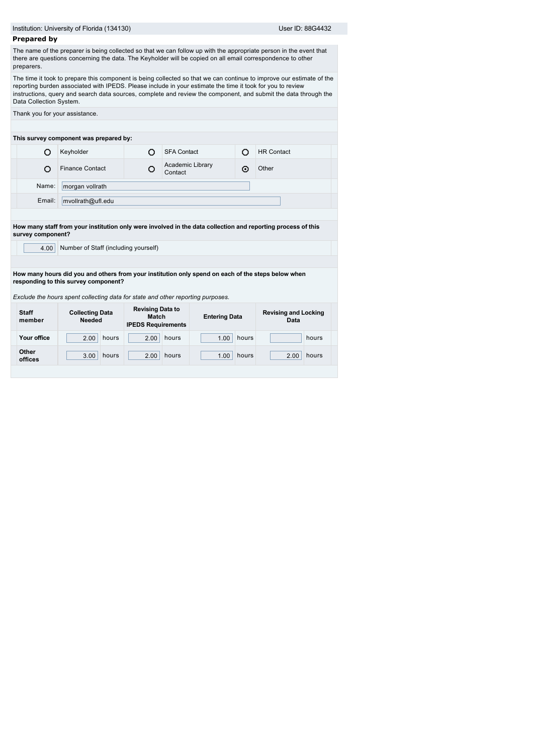| <b>Prepared by</b>      |                                                                                                              | Institution: University of Florida (134130)                   |                             |       | User ID: 88G4432                                                                                                                                                                                                                        |  |
|-------------------------|--------------------------------------------------------------------------------------------------------------|---------------------------------------------------------------|-----------------------------|-------|-----------------------------------------------------------------------------------------------------------------------------------------------------------------------------------------------------------------------------------------|--|
|                         |                                                                                                              |                                                               |                             |       |                                                                                                                                                                                                                                         |  |
| preparers.              | there are questions concerning the data. The Keyholder will be copied on all email correspondence to other   |                                                               |                             |       | The name of the preparer is being collected so that we can follow up with the appropriate person in the event that                                                                                                                      |  |
| Data Collection System. | reporting burden associated with IPEDS. Please include in your estimate the time it took for you to review   |                                                               |                             |       | The time it took to prepare this component is being collected so that we can continue to improve our estimate of the<br>instructions, query and search data sources, complete and review the component, and submit the data through the |  |
|                         | Thank you for your assistance.                                                                               |                                                               |                             |       |                                                                                                                                                                                                                                         |  |
|                         |                                                                                                              |                                                               |                             |       |                                                                                                                                                                                                                                         |  |
|                         | This survey component was prepared by:                                                                       |                                                               |                             |       |                                                                                                                                                                                                                                         |  |
| Ω                       | Keyholder                                                                                                    | O                                                             | <b>SFA Contact</b>          | O     | <b>HR Contact</b>                                                                                                                                                                                                                       |  |
| O                       | <b>Finance Contact</b>                                                                                       | O                                                             | Academic Library<br>Contact | ⊙     | Other                                                                                                                                                                                                                                   |  |
| Name:                   | morgan vollrath                                                                                              |                                                               |                             |       |                                                                                                                                                                                                                                         |  |
| Email:                  | mvollrath@ufl.edu                                                                                            |                                                               |                             |       |                                                                                                                                                                                                                                         |  |
|                         |                                                                                                              |                                                               |                             |       |                                                                                                                                                                                                                                         |  |
|                         | How many staff from your institution only were involved in the data collection and reporting process of this |                                                               |                             |       |                                                                                                                                                                                                                                         |  |
|                         |                                                                                                              |                                                               |                             |       |                                                                                                                                                                                                                                         |  |
| survey component?       |                                                                                                              |                                                               |                             |       |                                                                                                                                                                                                                                         |  |
| 4.00                    | Number of Staff (including yourself)                                                                         |                                                               |                             |       |                                                                                                                                                                                                                                         |  |
|                         |                                                                                                              |                                                               |                             |       |                                                                                                                                                                                                                                         |  |
|                         | How many hours did you and others from your institution only spend on each of the steps below when           |                                                               |                             |       |                                                                                                                                                                                                                                         |  |
|                         | responding to this survey component?                                                                         |                                                               |                             |       |                                                                                                                                                                                                                                         |  |
|                         | Exclude the hours spent collecting data for state and other reporting purposes.                              |                                                               |                             |       |                                                                                                                                                                                                                                         |  |
| <b>Staff</b><br>member  | <b>Collecting Data</b><br><b>Needed</b>                                                                      | <b>Revising Data to</b><br>Match<br><b>IPEDS Requirements</b> | <b>Entering Data</b>        |       | <b>Revising and Locking</b><br>Data                                                                                                                                                                                                     |  |
| Your office             | hours<br>2.00                                                                                                | 2.00                                                          | hours<br>1.00               | hours | hours                                                                                                                                                                                                                                   |  |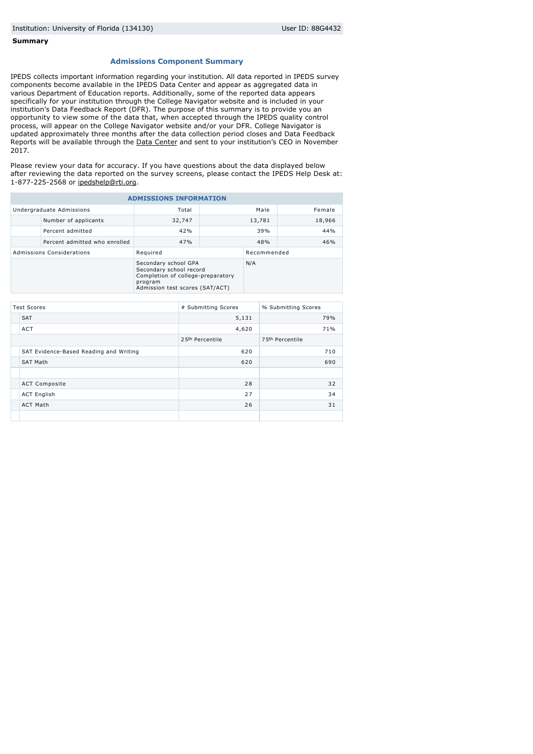## **Summary**

## **Admissions Component Summary**

IPEDS collects important information regarding your institution. All data reported in IPEDS survey components become available in the IPEDS Data Center and appear as aggregated data in various Department of Education reports. Additionally, some of the reported data appears specifically for your institution through the College Navigator website and is included in your institution's Data Feedback Report (DFR). The purpose of this summary is to provide you an opportunity to view some of the data that, when accepted through the IPEDS quality control process, will appear on the College Navigator website and/or your DFR. College Navigator is updated approximately three months after the data collection period closes and Data Feedback Reports will be available through the [Data Center](http://nces.ed.gov/ipeds/datacenter/) and sent to your institution's CEO in November 2017.

Please review your data for accuracy. If you have questions about the data displayed below after reviewing the data reported on the survey screens, please contact the IPEDS Help Desk at: 1-877-225-2568 or [ipedshelp@rti.org](mailto:ipedshelp@rti.org).

| <b>ADMISSIONS INFORMATION</b> |                               |                                                                                                                                    |      |             |        |  |
|-------------------------------|-------------------------------|------------------------------------------------------------------------------------------------------------------------------------|------|-------------|--------|--|
| Undergraduate Admissions      |                               | Total                                                                                                                              | Male |             | Female |  |
|                               | Number of applicants          | 32,747                                                                                                                             |      | 13,781      | 18,966 |  |
|                               | Percent admitted              | 42%                                                                                                                                |      | 39%         | 44%    |  |
|                               | Percent admitted who enrolled | 47%                                                                                                                                |      | 48%         | 46%    |  |
| Admissions Considerations     |                               | Required                                                                                                                           |      | Recommended |        |  |
|                               |                               | Secondary school GPA<br>Secondary school record<br>Completion of college-preparatory<br>program<br>Admission test scores (SAT/ACT) |      | N/A         |        |  |

| <b>Test Scores</b> |                                        | # Submitting Scores | % Submitting Scores |  |
|--------------------|----------------------------------------|---------------------|---------------------|--|
|                    | <b>SAT</b>                             | 5,131               | 79%                 |  |
|                    | <b>ACT</b>                             | 4,620               | 71%                 |  |
|                    |                                        | 2.5th Percentile    | 75th Percentile     |  |
|                    | SAT Evidence-Based Reading and Writing | 620                 | 710                 |  |
|                    | <b>SAT Math</b>                        | 620                 | 690                 |  |
|                    |                                        |                     |                     |  |
|                    | <b>ACT Composite</b>                   | 28                  | 32                  |  |
|                    | <b>ACT English</b>                     | 27                  | 34                  |  |
|                    | <b>ACT Math</b>                        | 26                  | 31                  |  |
|                    |                                        |                     |                     |  |